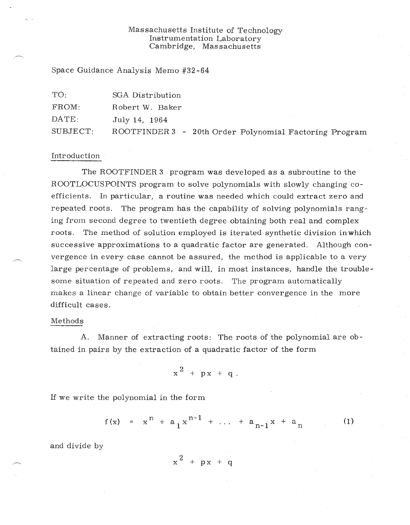## Massachusetts Institute of Technology Instrumentation Laboratory Cambridge, Massachusetts

Space Guidance Analysis Memo #32-64

| TO:      | SGA Distribution                                       |
|----------|--------------------------------------------------------|
| FROM:    | Robert W. Baker                                        |
| DATE:    | July 14, 1964                                          |
| SUBJECT: | ROOTFINDER 3 - 20th Order Polynomial Factoring Program |

## Introduction

The ROOTFINDER 3 program was developed as a subroutine to the ROOTLOCUSPOINTS program to solve polynomials with slowly changing coefficients. In particular, a routine was needed which could extract zero and repeated roots. The program has the capability of solving polynomials ranging from second degree to twentieth degree obtaining both real and complex roots. The method of solution employed is iterated synthetic division inwhich successive approximations to a quadratic factor are generated. Although convergence in every case cannot be assured, the method is applicable to a very large percentage of problems, and will, in most instances, handle the troublesome situation of repeated and zero roots. The program automatically makes a linear change of variable to obtain better convergence in the more difficult cases.

## Methods

A. Manner of extracting roots: The roots of the polynomial are obtained in pairs by the extraction of a quadratic factor of the form

$$
x^2 + px + q.
$$

If we write the polynomial in the form

$$
f(x) = x^{n} + a_{1}x^{n-1} + ... + a_{n-1}x + a_{n}
$$
 (1)

and divide by

$$
x^2 + px + q
$$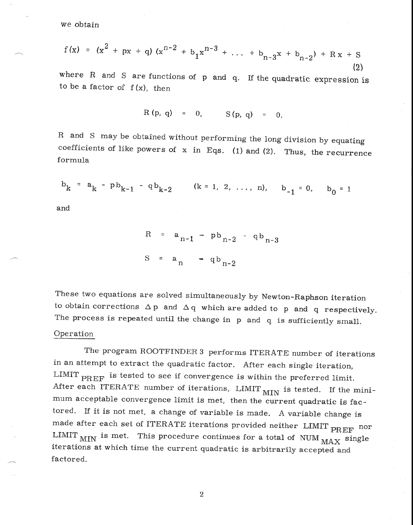we obtain

$$
f(x) = (x2 + px + q) (xn-2 + b1xn-3 + ... + bn-3x + bn-2) + Rx + S
$$
\n(2)

where R and S are functions of p and q. If the quadratic expression is to be a factor of *f* (x), then

$$
R(p, q) = 0, S(p, q) = 0.
$$

R and S may be obtained without performing the long division by equating coefficients of like powers of  $x$  in Eqs. (1) and (2). Thus, the recurrence formula

$$
b_k = a_k - pb_{k-1} - qb_{k-2}
$$
 (k = 1, 2, ..., n),  $b_{-1} = 0$ ,  $b_0 = 1$ 

and

 $a_{n-1} - pb_{n-2} - qb_{n-3}$  $S = a_n - q b_{n-2}$ 

These two equations are solved simultaneously by Newton-Raphson iteration to obtain corrections  $\Delta p$  and  $\Delta q$  which are added to p and q respectively. The process is repeated until the change in p and q is sufficiently small,

## Operation

The program ROOTFINDER 3 performs ITERATE number of iterations in an attempt to extract the quadratic factor. After each single iteration, LIMIT PREF is tested to see if convergence is within the preferred limit. After each ITERATE number of iterations,  $LIMIT$   $_{MIN}$  is tested. If the minimum acceptable convergence limit is met, then the current quadratic is factored. If it is not met, a change of variable is made. A variable change is made after each set of ITERATE iterations provided neither LIMIT  $_{\rm PREF}$  nor LIMIT  $_{\text{MIN}}$  is met. This procedure continues for a total of NUM  $_{\text{MAX}}$  single iterations at which time the current quadratic is arbitrarily accepted and factored,

2